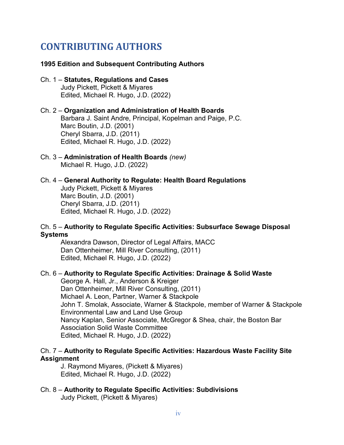# **CONTRIBUTING AUTHORS**

#### **1995 Edition and Subsequent Contributing Authors**

#### Ch. 1 – **Statutes, Regulations and Cases** Judy Pickett, Pickett & Miyares Edited, Michael R. Hugo, J.D. (2022)

#### Ch. 2 – **Organization and Administration of Health Boards** Barbara J. Saint Andre, Principal, Kopelman and Paige, P.C. Marc Boutin, J.D. (2001) Cheryl Sbarra, J.D. (2011) Edited, Michael R. Hugo, J.D. (2022)

#### Ch. 3 – **Administration of Health Boards** *(new)* Michael R. Hugo, J.D. (2022)

# Ch. 4 – **General Authority to Regulate: Health Board Regulations**

Judy Pickett, Pickett & Miyares Marc Boutin, J.D. (2001) Cheryl Sbarra, J.D. (2011) Edited, Michael R. Hugo, J.D. (2022)

# Ch. 5 – **Authority to Regulate Specific Activities: Subsurface Sewage Disposal Systems**

Alexandra Dawson, Director of Legal Affairs, MACC Dan Ottenheimer, Mill River Consulting, (2011) Edited, Michael R. Hugo, J.D. (2022)

#### Ch. 6 – **Authority to Regulate Specific Activities: Drainage & Solid Waste**

George A. Hall, Jr., Anderson & Kreiger Dan Ottenheimer, Mill River Consulting, (2011) Michael A. Leon, Partner, Warner & Stackpole John T. Smolak, Associate, Warner & Stackpole, member of Warner & Stackpole Environmental Law and Land Use Group Nancy Kaplan, Senior Associate, McGregor & Shea, chair, the Boston Bar Association Solid Waste Committee Edited, Michael R. Hugo, J.D. (2022)

# Ch. 7 – **Authority to Regulate Specific Activities: Hazardous Waste Facility Site Assignment**

J. Raymond Miyares, (Pickett & Miyares) Edited, Michael R. Hugo, J.D. (2022)

Ch. 8 – **Authority to Regulate Specific Activities: Subdivisions** Judy Pickett, (Pickett & Miyares)